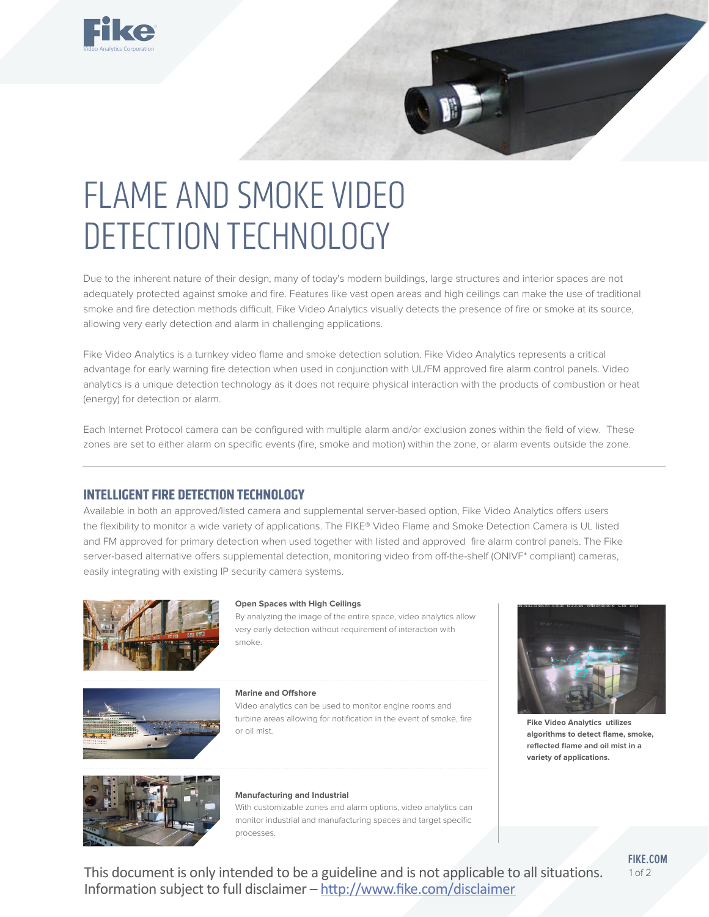

# FLAME AND SMOKE VIDEO DETECTION TECHNOLOGY

Due to the inherent nature of their design, many of today's modern buildings, large structures and interior spaces are not adequately protected against smoke and fire. Features like vast open areas and high ceilings can make the use of traditional smoke and fire detection methods difficult. Fike Video Analytics visually detects the presence of fire or smoke at its source, allowing very early detection and alarm in challenging applications.

Fike Video Analytics is a turnkey video flame and smoke detection solution. Fike Video Analytics represents a critical advantage for early warning fire detection when used in conjunction with UL/FM approved fire alarm control panels. Video analytics is a unique detection technology as it does not require physical interaction with the products of combustion or heat (energy) for detection or alarm.

Each Internet Protocol camera can be configured with multiple alarm and/or exclusion zones within the field of view. These zones are set to either alarm on specific events (fire, smoke and motion) within the zone, or alarm events outside the zone.

# **INTELLIGENT FIRE DETECTION TECHNOLOGY**

Available in both an approved/listed camera and supplemental server-based option, Fike Video Analytics offers users the flexibility to monitor a wide variety of applications. The FIKE® Video Flame and Smoke Detection Camera is UL listed and FM approved for primary detection when used together with listed and approved fire alarm control panels. The Fike server-based alternative offers supplemental detection, monitoring video from off-the-shelf (ONIVF\* compliant) cameras, easily integrating with existing IP security camera systems.



#### **Open Spaces with High Ceilings**

By analyzing the image of the entire space, video analytics allow very early detection without requirement of interaction with smoke.



#### **Marine and Offshore**

Video analytics can be used to monitor engine rooms and turbine areas allowing for notification in the event of smoke, fire or oil mist.



**Fike Video Analytics utilizes algorithms to detect flame, smoke, reflected flame and oil mist in a variety of applications.** 



#### **Manufacturing and Industrial**

With customizable zones and alarm options, video analytics can monitor industrial and manufacturing spaces and target specific processes.

This document is only intended to be a guideline and is not applicable to all situations. Information subject to full disclaimer – http://www.fike.com/disclaimer

**FIKE.COM**